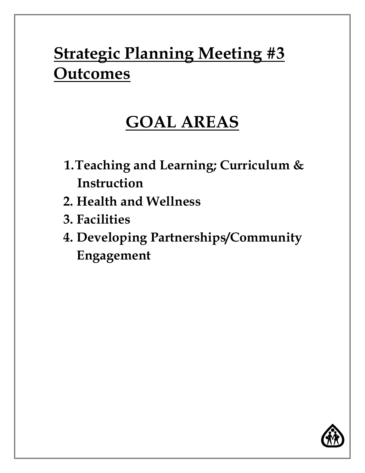# **Strategic Planning Meeting #3 Outcomes**

## **GOAL AREAS**

- **1.Teaching and Learning; Curriculum & Instruction**
- **2. Health and Wellness**
- **3. Facilities**
- **4. Developing Partnerships/Community Engagement**

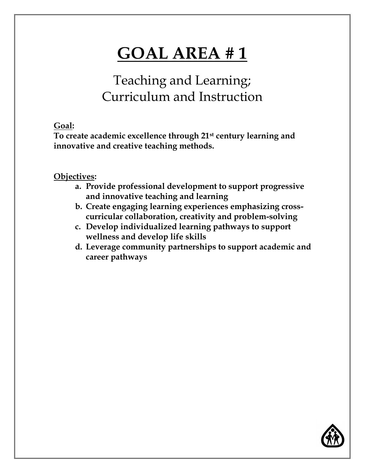### Teaching and Learning; Curriculum and Instruction

#### **Goal:**

**To create academic excellence through 21st century learning and innovative and creative teaching methods.**

- **a. Provide professional development to support progressive and innovative teaching and learning**
- **b. Create engaging learning experiences emphasizing crosscurricular collaboration, creativity and problem-solving**
- **c. Develop individualized learning pathways to support wellness and develop life skills**
- **d. Leverage community partnerships to support academic and career pathways**

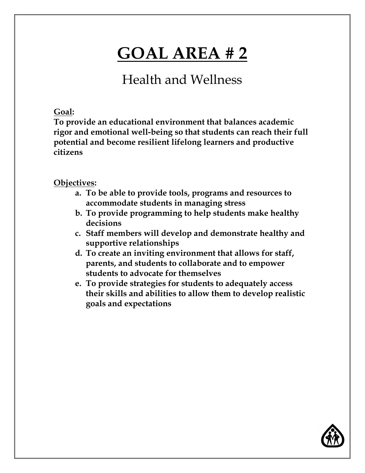Health and Wellness

**Goal:** 

**To provide an educational environment that balances academic rigor and emotional well-being so that students can reach their full potential and become resilient lifelong learners and productive citizens** 

- **a. To be able to provide tools, programs and resources to accommodate students in managing stress**
- **b. To provide programming to help students make healthy decisions**
- **c. Staff members will develop and demonstrate healthy and supportive relationships**
- **d. To create an inviting environment that allows for staff, parents, and students to collaborate and to empower students to advocate for themselves**
- **e. To provide strategies for students to adequately access their skills and abilities to allow them to develop realistic goals and expectations**

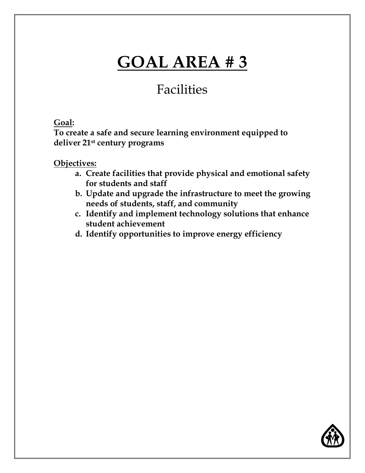### Facilities

#### **Goal:**

**To create a safe and secure learning environment equipped to deliver 21st century programs**

- **a. Create facilities that provide physical and emotional safety for students and staff**
- **b. Update and upgrade the infrastructure to meet the growing needs of students, staff, and community**
- **c. Identify and implement technology solutions that enhance student achievement**
- **d. Identify opportunities to improve energy efficiency**